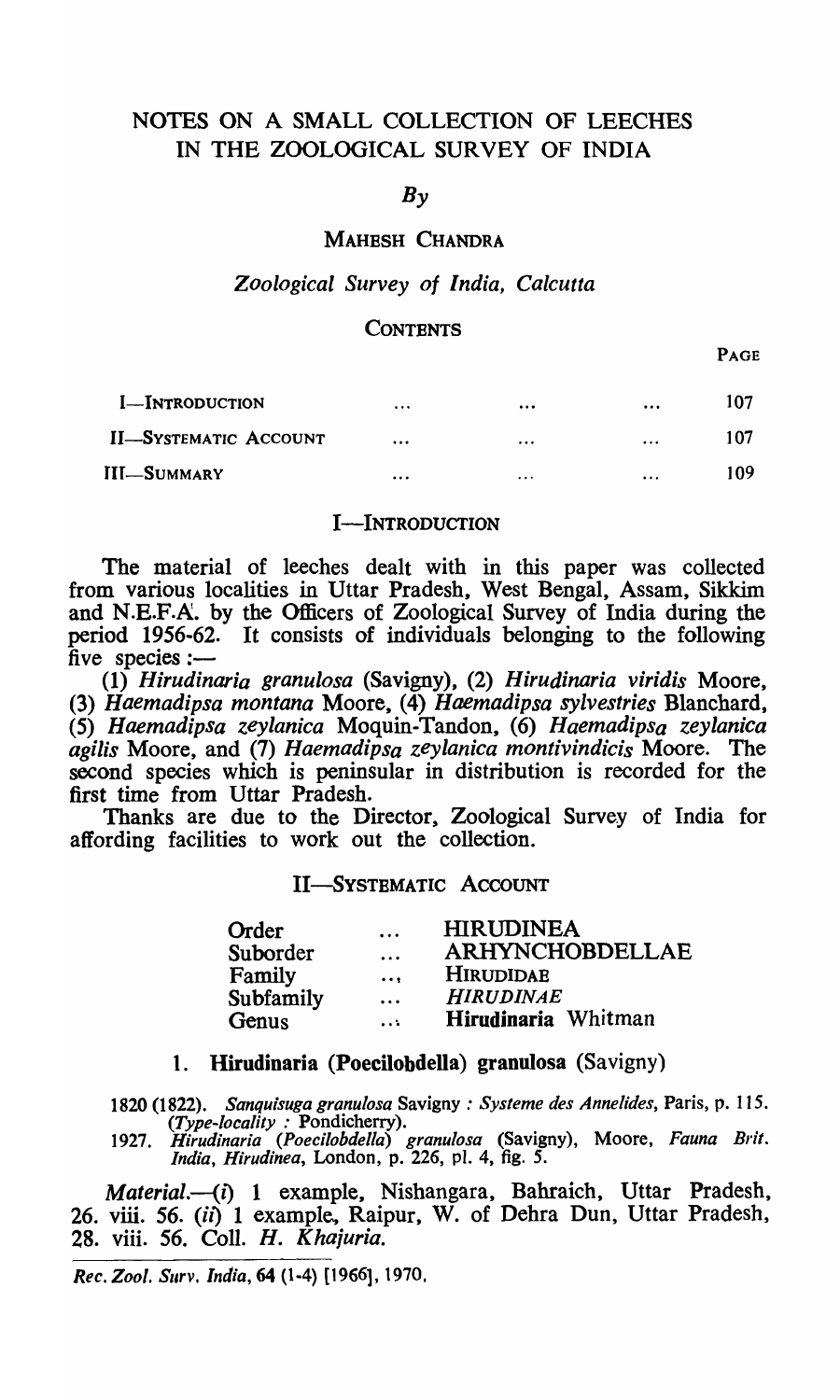## NOTES ON A SMALL COLLECTION OF LEECHES IN THE ZOOLOGICAL SURVEY OF INDIA

## $Bv$

#### MAHESH CHANDRA

## *Zoological Survey of India, Calcutta*

## **CONTENTS**

PAGE

| <b>I</b> -Introduction       | $\cdots$ |          | $\cdots$ | 107  |
|------------------------------|----------|----------|----------|------|
| <b>II-SYSTEMATIC ACCOUNT</b> | $\cdots$ | $\cdots$ | $\cdots$ | 107  |
| <b>III-SUMMARY</b>           | $\cdots$ | $\cdots$ | $\cdots$ | 109. |

#### I-INTRODUCTION

The material of leeches dealt with in this paper was collected from various localities in Uttar Pradesh, West Bengal, Assam, Sikkim and N.E.F.A. by the Officers of Zoological Survey of India during the period 1956-62. It consists of individuals belonging to the following five species: $-$ 

*(1) Hirudinaria granulosa* (Savigny), (2) *Hirudinaria viridis* Moore, (3) *Haemadipsa montana* Moore, (4) *Haemadipsa sylvestries* Blanchard, (5) *Haemadipsa zeylanica* Moquin-Tandon, (6) *Haemadipsa zeylanica agilis* Moore, and (7) *Haemadipsa zeyianica montivindicis* Moore. The second species which is peninsular in distribution is recorded for the first time from Uttar Pradesh.

Thanks are due to the Director, Zoological Survey of India for affording facilities to work out the collection.

## II-SYSTEMATIC ACCOUNT

| Order     | $\ddotsc$ | <b>HIRUDINEA</b>       |
|-----------|-----------|------------------------|
| Suborder  | $\ddotsc$ | <b>ARHYNCHOBDELLAE</b> |
| Family    | $\cdots$  | <b>HIRUDIDAE</b>       |
| Subfamily | $\ddotsc$ | <b>HIRUDINAE</b>       |
| Genus     | $\cdots$  | Hirudinaria Whitman    |

## 1. Hirudinaria (Poecilobdella) granulosa (Savigny)

1820 (1822). *Sanqu;suga granulosa* Savigny : *Systeme des Annelides,* Paris, p. 115. *(Type-locality:* Pondicherry).

*1927. Hirudinaria (Poecilobdella) granulosa* (Savigny), Moore, *Fauna Brit. India, Hirudinea,* London, p. 226, pI. 4, fig. 5.

*Material.-(i)* 1 example, Nishangara, Bahraich, Uttar Pradesh, 26. viii. 56. (ii) 1 example, Raipur, W. of Dehra Dun, Uttar Pradesh, 28. viii. 56. CoIl. H. K *hajuria.* 

*Rec. Zool. Surv. India, 64 (1-4) [1966], 1970.*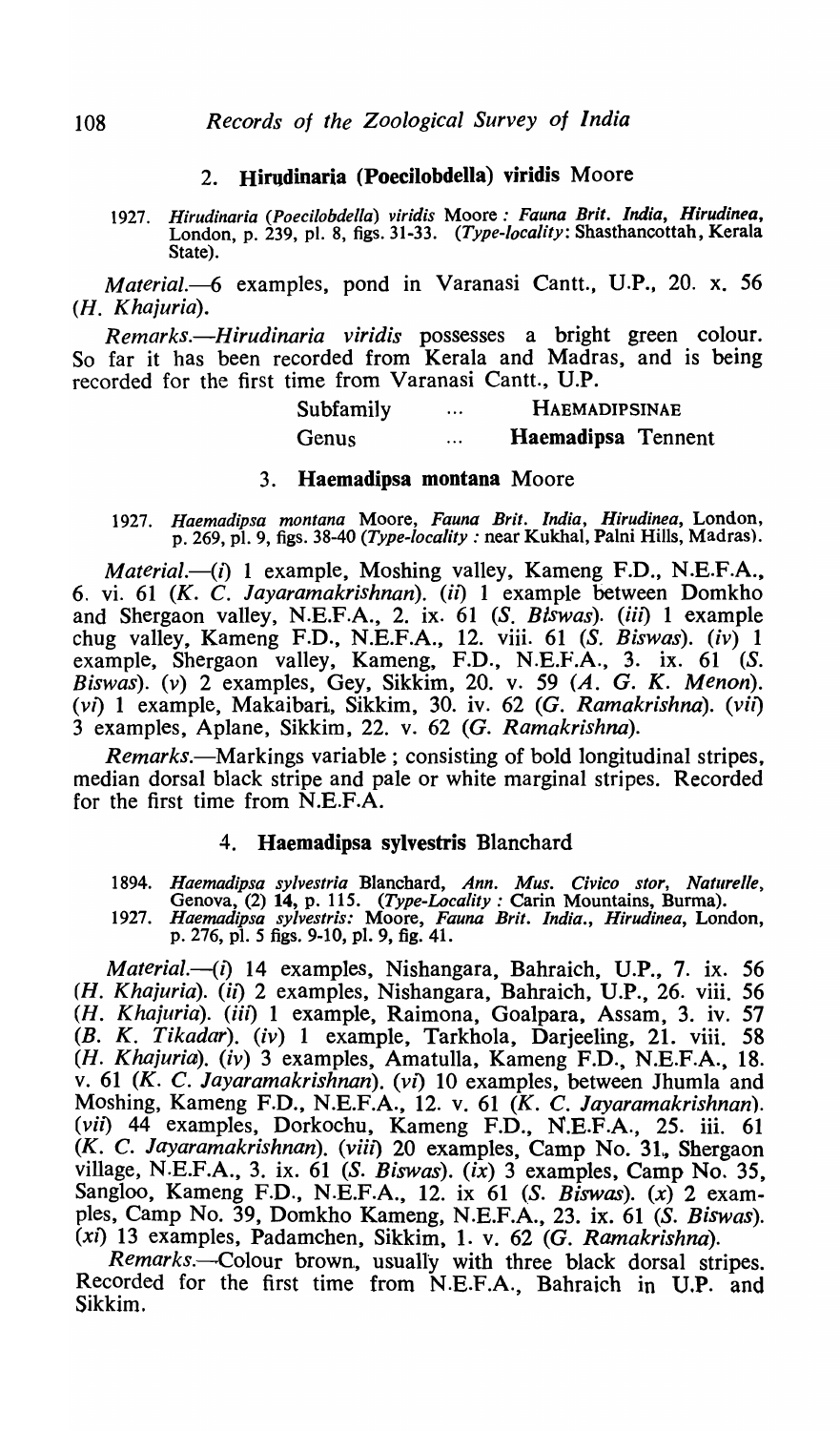## 2. Hirudinaria (Poecilobdella) viridis Moore

*1927. Hirudinaria (Poecilobdella) viridis* Moore: *Fauna Brit. India, Hirudinea,*  London, p. 239, pI. 8, figs. 31-33. *(Type-locality:* Shasthancottah, Kerala State).

*Material.-6* examples, pond in Varanasi Cantt., V.P., 20. x. 56 (H. *Khajuria).* 

*Remarks.-Hirudinaria viridis* possesses a bright green colour. So far it has been recorded from Kerala and Madras, and is being recorded for the first time from Varanasi Cantt., V.P.

| Subfamily | $\cdots$ | <b>HAEMADIPSINAE</b> |
|-----------|----------|----------------------|
| Genus     | $\cdots$ | Haemadipsa Tennent   |

#### 3. Haemadipsa montana Moore

*1927. Haemadipsa montana* Moore, *Fauna Brit. India, Hirudinea,* London, p. 269, pI. 9, figs. 38-40 *(Type-locality:* near Kukhal, Palni Hills, Madras).

*Material.*-(*i*) 1 example, Moshing valley, Kameng F.D., N.E.F.A., 6. vi. 61 (K. C. *Jayaramakrishnan). (il)* 1 example between Domkho and Shergaon valley, N.E.F.A., 2. ix. 61 (S. *Biswas). (iii)* 1 example chug valley, Kameng F.D., N.E.F.A., 12. viii. 61 *(S. Biswas). (iv)* 1 example, Shergaon valley, Kameng, F.D., N.E.F.A., 3. ix. 61 (S. *Biswas). (v)* 2 examples, Gey, Sikkim, 20. v. 59 (A. G. K. *Menon). (vi)* 1 example, Makaibari, Sikkim, 30. iv. 62 (G. *Ramakrishna). (vii)*  3 examples, Aplane, Sikkim, 22. v. 62 (G. *Ramakrishna).* 

*Remarks.*—Markings variable; consisting of bold longitudinal stripes, median dorsal black stripe and pale or white marginal stripes. Recorded for the first time from N.E.F.A.

## 4. Haemadipsa sylvestris Blanchard

*1894. Haemadipsa sylvestria* Blanchard, *Ann. Mus. Civico stor, Naturelle,*  Genova, (2) 14, p. 115. *(Type-Locality:* Carin Mountains, Burma).

*1927. Haemadipsa sylvestris:* Moore, *Fauna Brit. India., Hirudinea,* London, p. 276, pI. 5 figs. 9-10, pI. 9, fig. 41.

*Material.-(i)* 14 examples, Nishangara, Bahraich, V.P., 7. ix. 56 (H. *Khajuria). (il)* 2 examples, Nishangara, Bahraich, V.P., 26. viii. 56 (H. *Khajuria). (iii)* 1 example, Raimona, Goalpara, Assam, 3. iv. 57 *(B.* K. *Tikadar). (iv)* 1 example, Tarkhola, Darjeeling, 21. viii. 58 (H. *Khajuria). (iv)* 3 examples, Amatulla, Kameng F.D., N.E.F.A., 18. v. 61 (K. C. *layaramakrishnan). (vi)* 10 examples, between Ihumla and Moshing, Kameng F.D., N.E.F.A., 12. v. 61 (K. C. *layaramakrishnan). (vil)* 44 examples, Dorkochu, Kameng F.D., N.E.F.A., 25. iii. 61 (K. C. *Jayaramakrishnan).* (viil) 20 examples, Camp No. 31., Shergaon village, N.E.F.A., 3. ix. 61 (S. *Biswas).* (ix) 3 examples, Camp No. 35, Sangloo, Kameng F.D., N.E.F.A., 12. ix 61 (S. *Biswas).* (x) 2 examples, Camp No. 39, Domkho Kameng, N.E.F.A., 23. ix. 61 (S. *Biswas). (Xl)* 13 examples, Padamchen, Sikkim, 1. v. 62 *(G. Ramakrishna).* 

*Remarks.--Colour* brown., usually with three black dorsal stripes. Recorded for the first time from N.E.F.A., Bahraich in U.P. and Sikkim.